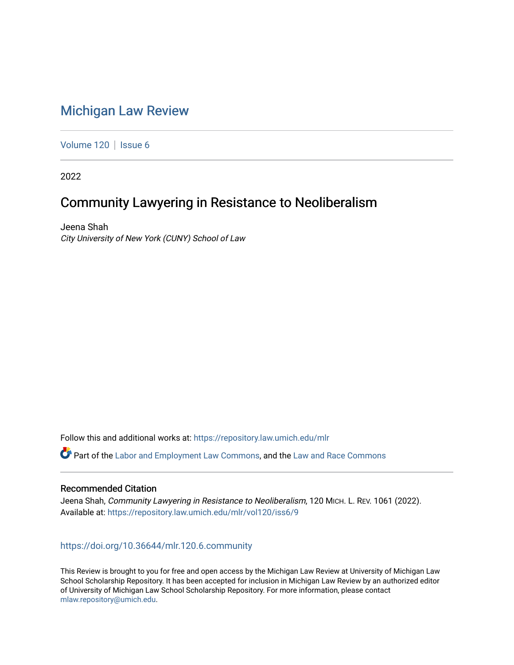# [Michigan Law Review](https://repository.law.umich.edu/mlr)

[Volume 120](https://repository.law.umich.edu/mlr/vol120) | [Issue 6](https://repository.law.umich.edu/mlr/vol120/iss6)

2022

# Community Lawyering in Resistance to Neoliberalism

Jeena Shah City University of New York (CUNY) School of Law

Follow this and additional works at: [https://repository.law.umich.edu/mlr](https://repository.law.umich.edu/mlr?utm_source=repository.law.umich.edu%2Fmlr%2Fvol120%2Fiss6%2F9&utm_medium=PDF&utm_campaign=PDFCoverPages) 

Part of the [Labor and Employment Law Commons](http://network.bepress.com/hgg/discipline/909?utm_source=repository.law.umich.edu%2Fmlr%2Fvol120%2Fiss6%2F9&utm_medium=PDF&utm_campaign=PDFCoverPages), and the Law and Race Commons

# Recommended Citation

Jeena Shah, Community Lawyering in Resistance to Neoliberalism, 120 MICH. L. REV. 1061 (2022). Available at: [https://repository.law.umich.edu/mlr/vol120/iss6/9](https://repository.law.umich.edu/mlr/vol120/iss6/9?utm_source=repository.law.umich.edu%2Fmlr%2Fvol120%2Fiss6%2F9&utm_medium=PDF&utm_campaign=PDFCoverPages) 

# <https://doi.org/10.36644/mlr.120.6.community>

This Review is brought to you for free and open access by the Michigan Law Review at University of Michigan Law School Scholarship Repository. It has been accepted for inclusion in Michigan Law Review by an authorized editor of University of Michigan Law School Scholarship Repository. For more information, please contact [mlaw.repository@umich.edu.](mailto:mlaw.repository@umich.edu)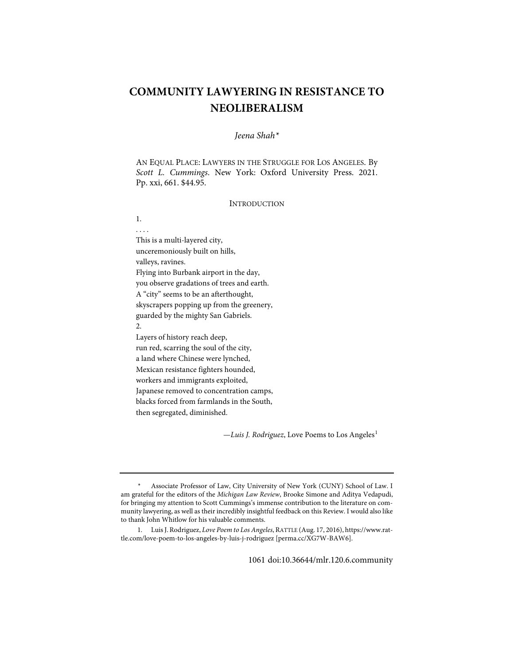# **COMMUNITY LAWYERING IN RESISTANCE TO NEOLIBERALISM**

# *Jeena Shah[\\*](#page-1-0)*

AN EQUAL PLACE: LAWYERS IN THE STRUGGLE FOR LOS ANGELES. By *Scott L. Cummings*. New York: Oxford University Press. 2021. Pp. xxi, 661. \$44.95.

### INTRODUCTION

. . . . This is a multi-layered city, unceremoniously built on hills, valleys, ravines. Flying into Burbank airport in the day, you observe gradations of trees and earth. A "city" seems to be an afterthought, skyscrapers popping up from the greenery, guarded by the mighty San Gabriels. 2. Layers of history reach deep, run red, scarring the soul of the city, a land where Chinese were lynched, Mexican resistance fighters hounded, workers and immigrants exploited, Japanese removed to concentration camps, blacks forced from farmlands in the South, then segregated, diminished.

1.

—*Luis J. Rodriguez*, Love Poems to Los Angeles<sup>[1](#page-1-1)</sup>

<span id="page-1-0"></span><sup>\*</sup> Associate Professor of Law, City University of New York (CUNY) School of Law. I am grateful for the editors of the *Michigan Law Review*, Brooke Simone and Aditya Vedapudi, for bringing my attention to Scott Cummings's immense contribution to the literature on community lawyering, as well as their incredibly insightful feedback on this Review. I would also like to thank John Whitlow for his valuable comments.

<span id="page-1-1"></span> <sup>1.</sup> Luis J. Rodriguez, *Love Poem to Los Angeles*, RATTLE (Aug. 17, 2016)[, https://www.rat](https://www.rattle.com/love-poem-to-los-angeles-by-luis-j-rodriguez/)[tle.com/love-poem-to-los-angeles-by-luis-j-rodriguez](https://www.rattle.com/love-poem-to-los-angeles-by-luis-j-rodriguez/) [\[perma.cc/XG7W-BAW6\]](https://perma.cc/XG7W-BAW6).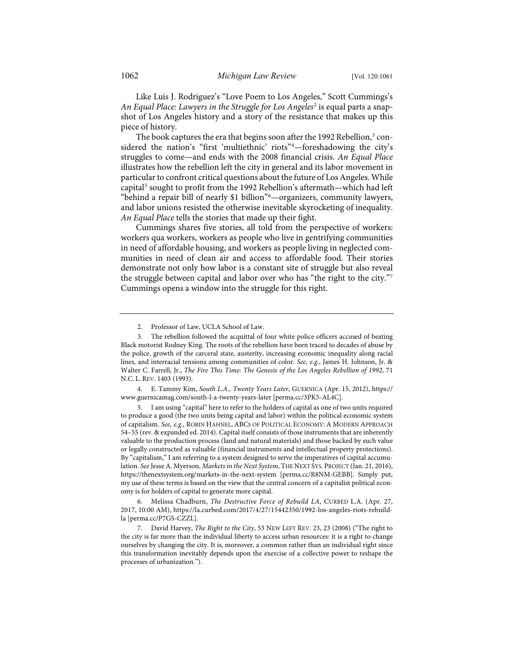Like Luis J. Rodriguez's "Love Poem to Los Angeles," Scott Cummings's *An Equal Place: Lawyers in the Struggle for Los Angeles*[2](#page-2-0) is equal parts a snapshot of Los Angeles history and a story of the resistance that makes up this piece of history.

The book captures the era that begins soon after the 1992 Rebellion, $3 \text{ con}$  $3 \text{ con}$ sidered the nation's "first 'multiethnic' riots"[4](#page-2-2) —foreshadowing the city's struggles to come—and ends with the 2008 financial crisis. *An Equal Place* illustrates how the rebellion left the city in general and its labor movement in particular to confront critical questions about the future of Los Angeles. While capital<sup>[5](#page-2-3)</sup> sought to profit from the 1992 Rebellion's aftermath—which had left "behind a repair bill of nearly \$1 billion"[6](#page-2-4) —organizers, community lawyers, and labor unions resisted the otherwise inevitable skyrocketing of inequality. *An Equal Place* tells the stories that made up their fight.

Cummings shares five stories, all told from the perspective of workers: workers qua workers, workers as people who live in gentrifying communities in need of affordable housing, and workers as people living in neglected communities in need of clean air and access to affordable food. Their stories demonstrate not only how labor is a constant site of struggle but also reveal the struggle between capital and labor over who has "the right to the city."[7](#page-2-5) Cummings opens a window into the struggle for this right.

<span id="page-2-2"></span> 4. E. Tammy Kim, *South L.A., Twenty Years Later*, GUERNICA (Apr. 15, 2012), [https://](https://www.guernicamag.com/south-l-a-twenty-years-later/) [www.guernicamag.com/south-l-a-twenty-years-later](https://www.guernicamag.com/south-l-a-twenty-years-later/) [\[perma.cc/3PK5-AL4C\]](https://perma.cc/3PK5-AL4C).

<span id="page-2-3"></span> 5. I am using "capital" here to refer to the holders of capital as one of two units required to produce a good (the two units being capital and labor) within the political economic system of capitalism. *See, e.g.*, ROBIN HAHNEL, ABCS OF POLITICAL ECONOMY: A MODERN APPROACH 54–55 (rev. & expanded ed. 2014). Capital itself consists of those instruments that are inherently valuable to the production process (land and natural materials) and those backed by such value or legally constructed as valuable (financial instruments and intellectual property protections). By "capitalism," I am referring to a system designed to serve the imperatives of capital accumulation. *See* Jesse A. Myerson, *Markets in the Next System*, THE NEXT SYS. PROJECT (Jan. 21, 2016), <https://thenextsystem.org/markets-in-the-next-system>[\[perma.cc/R8NM-GEBB\]](https://perma.cc/R8NM-GEBB). Simply put, my use of these terms is based on the view that the central concern of a capitalist political economy is for holders of capital to generate more capital.

<span id="page-2-4"></span> 6. Melissa Chadburn, *The Destructive Force of Rebuild LA*, CURBED L.A. (Apr. 27, 2017, 10:00 AM)[, https://la.curbed.com/2017/4/27/15442350/1992-los-angeles-riots-rebuild](https://la.curbed.com/2017/4/27/15442350/1992-los-angeles-riots-rebuild-la)[la](https://la.curbed.com/2017/4/27/15442350/1992-los-angeles-riots-rebuild-la) [\[perma.cc/P7GS-CZZL\]](https://perma.cc/P7GS-CZZL).

 <sup>2.</sup> Professor of Law, UCLA School of Law.

<span id="page-2-1"></span><span id="page-2-0"></span> <sup>3.</sup> The rebellion followed the acquittal of four white police officers accused of beating Black motorist Rodney King. The roots of the rebellion have been traced to decades of abuse by the police, growth of the carceral state, austerity, increasing economic inequality along racial lines, and interracial tensions among communities of color. *See, e.g.*, James H. Johnson, Jr. & Walter C. Farrell, Jr., *The Fire This Time: The Genesis of the Los Angeles Rebellion of 1992*, 71 N.C. L. REV. 1403 (1993).

<span id="page-2-5"></span> <sup>7.</sup> David Harvey, *The Right to the City*, 53 NEW LEFT REV. 23, 23 (2008) ("The right to the city is far more than the individual liberty to access urban resources: it is a right to change ourselves by changing the city. It is, moreover, a common rather than an individual right since this transformation inevitably depends upon the exercise of a collective power to reshape the processes of urbanization.").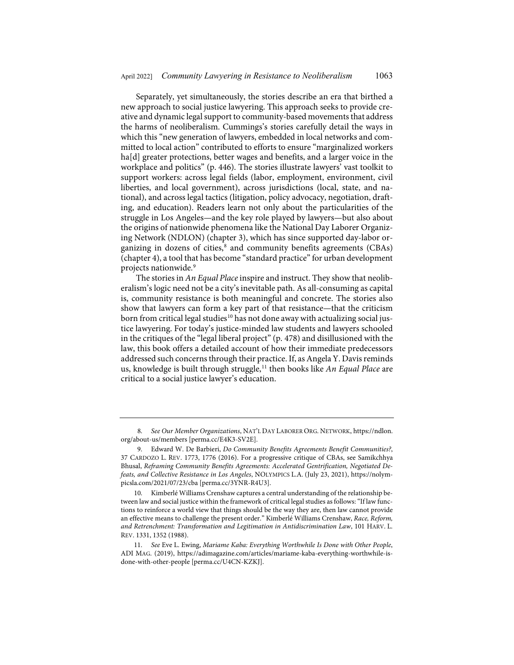Separately, yet simultaneously, the stories describe an era that birthed a new approach to social justice lawyering. This approach seeks to provide creative and dynamic legal support to community-based movements that address the harms of neoliberalism. Cummings's stories carefully detail the ways in which this "new generation of lawyers, embedded in local networks and committed to local action" contributed to efforts to ensure "marginalized workers ha[d] greater protections, better wages and benefits, and a larger voice in the workplace and politics" (p. 446). The stories illustrate lawyers' vast toolkit to support workers: across legal fields (labor, employment, environment, civil liberties, and local government), across jurisdictions (local, state, and national), and across legal tactics (litigation, policy advocacy, negotiation, drafting, and education). Readers learn not only about the particularities of the struggle in Los Angeles—and the key role played by lawyers—but also about the origins of nationwide phenomena like the National Day Laborer Organizing Network (NDLON) (chapter 3), which has since supported day-labor or-ganizing in dozens of cities,<sup>[8](#page-3-0)</sup> and community benefits agreements (CBAs) (chapter 4), a tool that has become "standard practice" for urban development projects nationwide.[9](#page-3-1)

<span id="page-3-5"></span><span id="page-3-4"></span>The stories in *An Equal Place* inspire and instruct. They show that neoliberalism's logic need not be a city's inevitable path. As all-consuming as capital is, community resistance is both meaningful and concrete. The stories also show that lawyers can form a key part of that resistance—that the criticism born from critical legal studies<sup>[10](#page-3-2)</sup> has not done away with actualizing social justice lawyering. For today's justice-minded law students and lawyers schooled in the critiques of the "legal liberal project" (p. 478) and disillusioned with the law, this book offers a detailed account of how their immediate predecessors addressed such concerns through their practice. If, as Angela Y. Davis reminds us, knowledge is built through struggle,<sup>[11](#page-3-3)</sup> then books like *An Equal Place* are critical to a social justice lawyer's education.

<span id="page-3-6"></span><span id="page-3-0"></span> <sup>8.</sup> *See Our Member Organizations*, NAT'L DAY LABORER ORG. NETWORK[, https://ndlon.](https://ndlon.org/about-us/members/) [org/about-us/members](https://ndlon.org/about-us/members/) [\[perma.cc/E4K3-SV2E\]](https://perma.cc/E4K3-SV2E).

<span id="page-3-1"></span> <sup>9.</sup> Edward W. De Barbieri, *Do Community Benefits Agreements Benefit Communities?*, 37 CARDOZO L. REV. 1773, 1776 (2016). For a progressive critique of CBAs, see Samikchhya Bhusal, *Reframing Community Benefits Agreements: Accelerated Gentrification, Negotiated Defeats, and Collective Resistance in Los Angeles*, NOLYMPICS L.A. (July 23, 2021), [https://nolym](https://nolympicsla.com/2021/07/23/cba/)[picsla.com/2021/07/23/cba](https://nolympicsla.com/2021/07/23/cba/) [\[perma.cc/3YNR-R4U3\]](https://perma.cc/3YNR-R4U3).

<span id="page-3-2"></span><sup>10.</sup> Kimberlé Williams Crenshaw captures a central understanding of the relationship between law and social justice within the framework of critical legal studies as follows: "If law functions to reinforce a world view that things should be the way they are, then law cannot provide an effective means to challenge the present order." Kimberlé Williams Crenshaw, *Race, Reform, and Retrenchment: Transformation and Legitimation in Antidiscrimination Law*, 101 HARV. L. REV. 1331, 1352 (1988).

<span id="page-3-3"></span><sup>11.</sup> *See* Eve L. Ewing, *Mariame Kaba: Everything Worthwhile Is Done with Other People*, ADI MAG. (2019), [https://adimagazine.com/articles/mariame-kaba-everything-worthwhile-is](https://adimagazine.com/articles/mariame-kaba-everything-worthwhile-is-done-with-other-people/)[done-with-other-people](https://adimagazine.com/articles/mariame-kaba-everything-worthwhile-is-done-with-other-people/) [\[perma.cc/U4CN-KZKJ\]](https://perma.cc/U4CN-KZKJ).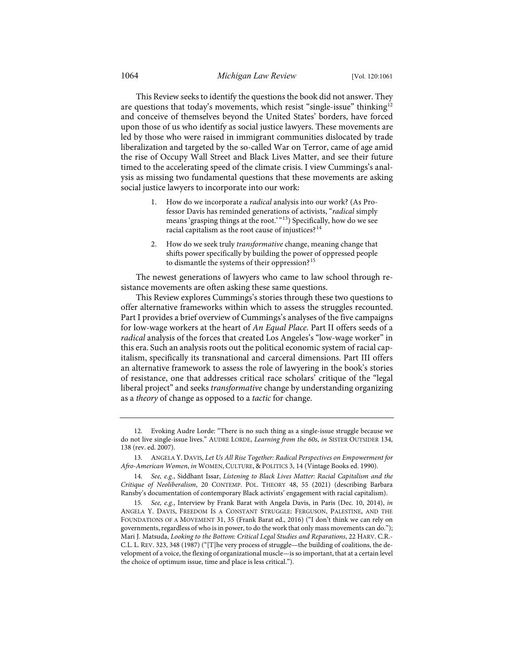This Review seeks to identify the questions the book did not answer. They are questions that today's movements, which resist "single-issue" thinking<sup>[12](#page-4-0)</sup> and conceive of themselves beyond the United States' borders, have forced upon those of us who identify as social justice lawyers. These movements are led by those who were raised in immigrant communities dislocated by trade liberalization and targeted by the so-called War on Terror, came of age amid the rise of Occupy Wall Street and Black Lives Matter, and see their future timed to the accelerating speed of the climate crisis. I view Cummings's analysis as missing two fundamental questions that these movements are asking social justice lawyers to incorporate into our work:

- 1. How do we incorporate a *radical* analysis into our work? (As Professor Davis has reminded generations of activists, "*radical* simply means 'grasping things at the root.' "<sup>13</sup>) Specifically, how do we see racial capitalism as the root cause of injustices?<sup>[14](#page-4-2)</sup>
- <span id="page-4-4"></span>2. How do we seek truly *transformative* change, meaning change that shifts power specifically by building the power of oppressed people to dismantle the systems of their oppression?<sup>[15](#page-4-3)</sup>

The newest generations of lawyers who came to law school through resistance movements are often asking these same questions.

This Review explores Cummings's stories through these two questions to offer alternative frameworks within which to assess the struggles recounted. Part I provides a brief overview of Cummings's analyses of the five campaigns for low-wage workers at the heart of *An Equal Place*. Part II offers seeds of a *radical* analysis of the forces that created Los Angeles's "low-wage worker" in this era. Such an analysis roots out the political economic system of racial capitalism, specifically its transnational and carceral dimensions. Part III offers an alternative framework to assess the role of lawyering in the book's stories of resistance, one that addresses critical race scholars' critique of the "legal liberal project" and seeks *transformative* change by understanding organizing as a *theory* of change as opposed to a *tactic* for change.

<span id="page-4-0"></span><sup>12.</sup> Evoking Audre Lorde: "There is no such thing as a single-issue struggle because we do not live single-issue lives." AUDRE LORDE, *Learning from the 60s*, *in* SISTER OUTSIDER 134, 138 (rev. ed. 2007).

<span id="page-4-1"></span><sup>13.</sup> ANGELA Y. DAVIS, *Let Us All Rise Together: Radical Perspectives on Empowerment for Afro-American Women*, *in* WOMEN, CULTURE, & POLITICS 3, 14 (Vintage Books ed. 1990).

<span id="page-4-2"></span><sup>14.</sup> *See, e.g.*, Siddhant Issar, *Listening to Black Lives Matter: Racial Capitalism and the Critique of Neoliberalism*, 20 CONTEMP. POL. THEORY 48, 55 (2021) (describing Barbara Ransby's documentation of contemporary Black activists' engagement with racial capitalism).

<span id="page-4-3"></span><sup>15.</sup> *See, e.g.*, Interview by Frank Barat with Angela Davis, in Paris (Dec. 10, 2014), *in* ANGELA Y. DAVIS, FREEDOM IS A CONSTANT STRUGGLE: FERGUSON, PALESTINE, AND THE FOUNDATIONS OF A MOVEMENT 31, 35 (Frank Barat ed., 2016) ("I don't think we can rely on governments, regardless of who is in power, to do the work that only mass movements can do."); Mari J. Matsuda, *Looking to the Bottom: Critical Legal Studies and Reparations*, 22 HARV. C.R.- C.L. L. REV. 323, 348 (1987) ("[T]he very process of struggle—the building of coalitions, the development of a voice, the flexing of organizational muscle—is so important, that at a certain level the choice of optimum issue, time and place is less critical.").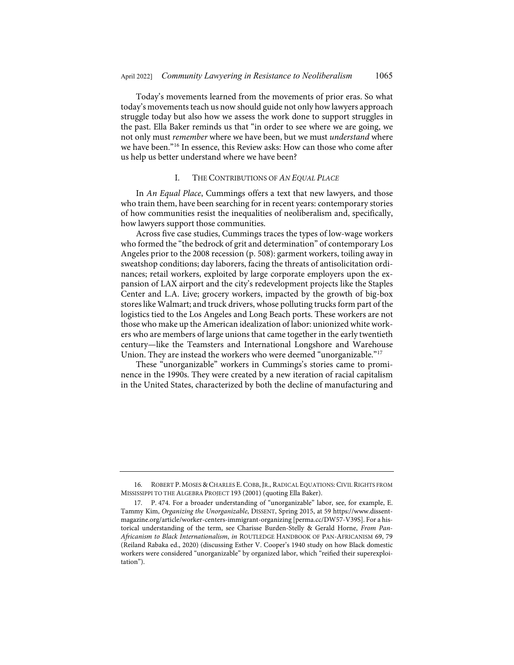Today's movements learned from the movements of prior eras. So what today's movements teach us now should guide not only how lawyers approach struggle today but also how we assess the work done to support struggles in the past. Ella Baker reminds us that "in order to see where we are going, we not only must *remember* where we have been, but we must *understand* where we have been."[16](#page-5-0) In essence, this Review asks: How can those who come after us help us better understand where we have been?

#### <span id="page-5-2"></span>I. THE CONTRIBUTIONS OF *AN EQUAL PLACE*

In *An Equal Place*, Cummings offers a text that new lawyers, and those who train them, have been searching for in recent years: contemporary stories of how communities resist the inequalities of neoliberalism and, specifically, how lawyers support those communities.

Across five case studies, Cummings traces the types of low-wage workers who formed the "the bedrock of grit and determination" of contemporary Los Angeles prior to the 2008 recession (p. 508): garment workers, toiling away in sweatshop conditions; day laborers, facing the threats of antisolicitation ordinances; retail workers, exploited by large corporate employers upon the expansion of LAX airport and the city's redevelopment projects like the Staples Center and L.A. Live; grocery workers, impacted by the growth of big-box stores like Walmart; and truck drivers, whose polluting trucks form part of the logistics tied to the Los Angeles and Long Beach ports. These workers are not those who make up the American idealization of labor: unionized white workers who are members of large unions that came together in the early twentieth century—like the Teamsters and International Longshore and Warehouse Union. They are instead the workers who were deemed "unorganizable."[17](#page-5-1)

These "unorganizable" workers in Cummings's stories came to prominence in the 1990s. They were created by a new iteration of racial capitalism in the United States, characterized by both the decline of manufacturing and

<span id="page-5-0"></span><sup>16.</sup> ROBERT P. MOSES & CHARLES E. COBB, JR., RADICAL EQUATIONS: CIVIL RIGHTS FROM MISSISSIPPI TO THE ALGEBRA PROJECT 193 (2001) (quoting Ella Baker).

<span id="page-5-1"></span><sup>17.</sup> P. 474. For a broader understanding of "unorganizable" labor, see, for example, E. Tammy Kim, *Organizing the Unorganizable*, DISSENT, Spring 2015, at 59 [https://www.dissent](https://www.dissentmagazine.org/article/worker-centers-immigrant-organizing)[magazine.org/article/worker-centers-immigrant-organizing](https://www.dissentmagazine.org/article/worker-centers-immigrant-organizing) [\[perma.cc/DW57-V39S\]](https://perma.cc/DW57-V39S). For a historical understanding of the term, see Charisse Burden-Stelly & Gerald Horne, *From Pan-Africanism to Black Internationalism*, *in* ROUTLEDGE HANDBOOK OF PAN-AFRICANISM 69, 79 (Reiland Rabaka ed., 2020) (discussing Esther V. Cooper's 1940 study on how Black domestic workers were considered "unorganizable" by organized labor, which "reified their superexploitation").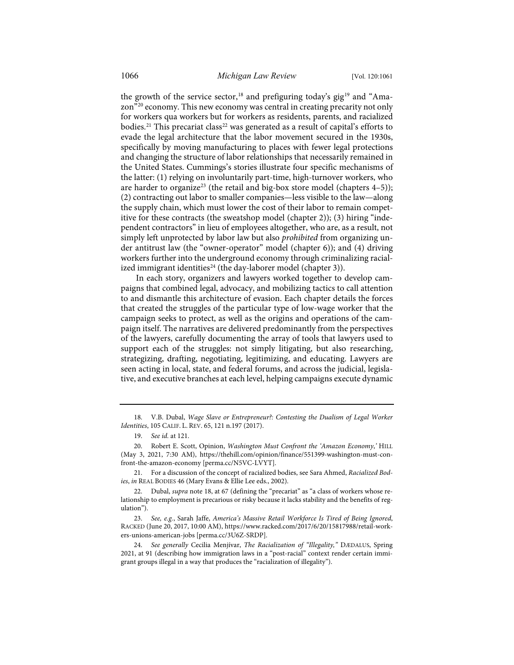<span id="page-6-0"></span>the growth of the service sector,<sup>[18](#page-6-1)</sup> and prefiguring today's gig<sup>[19](#page-6-2)</sup> and "Amazon"[20](#page-6-3) economy. This new economy was central in creating precarity not only for workers qua workers but for workers as residents, parents, and racialized bodies.<sup>[21](#page-6-4)</sup> This precariat class<sup>[22](#page-6-5)</sup> was generated as a result of capital's efforts to evade the legal architecture that the labor movement secured in the 1930s, specifically by moving manufacturing to places with fewer legal protections and changing the structure of labor relationships that necessarily remained in the United States. Cummings's stories illustrate four specific mechanisms of the latter: (1) relying on involuntarily part-time, high-turnover workers, who are harder to organize<sup>[23](#page-6-6)</sup> (the retail and big-box store model (chapters  $4-5$ )); (2) contracting out labor to smaller companies—less visible to the law—along the supply chain, which must lower the cost of their labor to remain competitive for these contracts (the sweatshop model (chapter 2)); (3) hiring "independent contractors" in lieu of employees altogether, who are, as a result, not simply left unprotected by labor law but also *prohibited* from organizing under antitrust law (the "owner-operator" model (chapter 6)); and (4) driving workers further into the underground economy through criminalizing racial-ized immigrant identities<sup>[24](#page-6-7)</sup> (the day-laborer model (chapter 3)).

<span id="page-6-8"></span>In each story, organizers and lawyers worked together to develop campaigns that combined legal, advocacy, and mobilizing tactics to call attention to and dismantle this architecture of evasion. Each chapter details the forces that created the struggles of the particular type of low-wage worker that the campaign seeks to protect, as well as the origins and operations of the campaign itself. The narratives are delivered predominantly from the perspectives of the lawyers, carefully documenting the array of tools that lawyers used to support each of the struggles: not simply litigating, but also researching, strategizing, drafting, negotiating, legitimizing, and educating. Lawyers are seen acting in local, state, and federal forums, and across the judicial, legislative, and executive branches at each level, helping campaigns execute dynamic

<span id="page-6-2"></span><span id="page-6-1"></span><sup>18.</sup> V.B. Dubal, *Wage Slave or Entrepreneur?: Contesting the Dualism of Legal Worker Identities*, 105 CALIF. L. REV. 65, 121 n.197 (2017).

<sup>19.</sup> *See id.* at 121.

<span id="page-6-3"></span><sup>20.</sup> Robert E. Scott, Opinion, *Washington Must Confront the 'Amazon Economy*,*'* HILL (May 3, 2021, 7:30 AM), [https://thehill.com/opinion/finance/551399-washington-must-con](https://thehill.com/opinion/finance/551399-washington-must-confront-the-amazon-economy)[front-the-amazon-economy](https://thehill.com/opinion/finance/551399-washington-must-confront-the-amazon-economy) [\[perma.cc/N5VC-LVYT\]](https://perma.cc/N5VC-LVYT).

<span id="page-6-4"></span><sup>21.</sup> For a discussion of the concept of racialized bodies, see Sara Ahmed, *Racialized Bodies*, *in* REAL BODIES 46 (Mary Evans & Ellie Lee eds., 2002).

<span id="page-6-5"></span><sup>22.</sup> Dubal, *supra* not[e 18,](#page-6-0) at 67 (defining the "precariat" as "a class of workers whose relationship to employment is precarious or risky because it lacks stability and the benefits of regulation").

<span id="page-6-6"></span><sup>23.</sup> *See, e.g.*, Sarah Jaffe, *America's Massive Retail Workforce Is Tired of Being Ignored*, RACKED (June 20, 2017, 10:00 AM)[, https://www.racked.com/2017/6/20/15817988/retail-work](https://www.racked.com/2017/6/20/15817988/retail-workers-unions-american-jobs)[ers-unions-american-jobs](https://www.racked.com/2017/6/20/15817988/retail-workers-unions-american-jobs) [\[perma.cc/3U6Z-SRDP\]](https://perma.cc/3U6Z-SRDP).

<span id="page-6-7"></span><sup>24.</sup> *See generally* Cecilia Menjívar, *The Racialization of "Illegality,"* DÆDALUS, Spring 2021, at 91 (describing how immigration laws in a "post-racial" context render certain immigrant groups illegal in a way that produces the "racialization of illegality").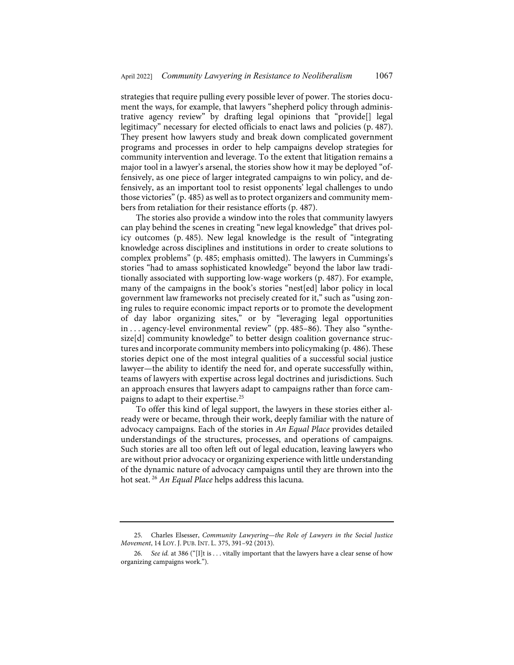strategies that require pulling every possible lever of power. The stories document the ways, for example, that lawyers "shepherd policy through administrative agency review" by drafting legal opinions that "provide[] legal legitimacy" necessary for elected officials to enact laws and policies (p. 487). They present how lawyers study and break down complicated government programs and processes in order to help campaigns develop strategies for community intervention and leverage. To the extent that litigation remains a major tool in a lawyer's arsenal, the stories show how it may be deployed "offensively, as one piece of larger integrated campaigns to win policy, and defensively, as an important tool to resist opponents' legal challenges to undo those victories" (p. 485) as well as to protect organizers and community members from retaliation for their resistance efforts (p. 487).

The stories also provide a window into the roles that community lawyers can play behind the scenes in creating "new legal knowledge" that drives policy outcomes (p. 485). New legal knowledge is the result of "integrating knowledge across disciplines and institutions in order to create solutions to complex problems" (p. 485; emphasis omitted). The lawyers in Cummings's stories "had to amass sophisticated knowledge" beyond the labor law traditionally associated with supporting low-wage workers (p. 487). For example, many of the campaigns in the book's stories "nest[ed] labor policy in local government law frameworks not precisely created for it," such as "using zoning rules to require economic impact reports or to promote the development of day labor organizing sites," or by "leveraging legal opportunities in . . . agency-level environmental review" (pp. 485–86). They also "synthesize[d] community knowledge" to better design coalition governance structures and incorporate community members into policymaking (p. 486). These stories depict one of the most integral qualities of a successful social justice lawyer—the ability to identify the need for, and operate successfully within, teams of lawyers with expertise across legal doctrines and jurisdictions. Such an approach ensures that lawyers adapt to campaigns rather than force campaigns to adapt to their expertise[.25](#page-7-0)

<span id="page-7-2"></span>To offer this kind of legal support, the lawyers in these stories either already were or became, through their work, deeply familiar with the nature of advocacy campaigns. Each of the stories in *An Equal Place* provides detailed understandings of the structures, processes, and operations of campaigns. Such stories are all too often left out of legal education, leaving lawyers who are without prior advocacy or organizing experience with little understanding of the dynamic nature of advocacy campaigns until they are thrown into the hot seat. [26](#page-7-1) *An Equal Place* helps address this lacuna.

<span id="page-7-0"></span><sup>25.</sup> Charles Elsesser, *Community Lawyering—the Role of Lawyers in the Social Justice Movement*, 14 LOY. J. PUB. INT. L. 375, 391–92 (2013).

<span id="page-7-1"></span><sup>26.</sup> *See id.* at 386 ("[I]t is . . . vitally important that the lawyers have a clear sense of how organizing campaigns work.").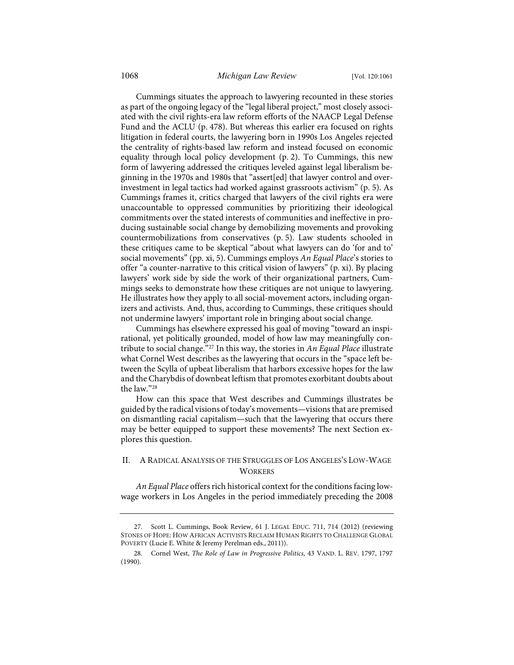Cummings situates the approach to lawyering recounted in these stories as part of the ongoing legacy of the "legal liberal project," most closely associated with the civil rights-era law reform efforts of the NAACP Legal Defense Fund and the ACLU (p. 478). But whereas this earlier era focused on rights litigation in federal courts, the lawyering born in 1990s Los Angeles rejected the centrality of rights-based law reform and instead focused on economic equality through local policy development (p. 2). To Cummings, this new form of lawyering addressed the critiques leveled against legal liberalism beginning in the 1970s and 1980s that "assert[ed] that lawyer control and overinvestment in legal tactics had worked against grassroots activism" (p. 5). As Cummings frames it, critics charged that lawyers of the civil rights era were unaccountable to oppressed communities by prioritizing their ideological commitments over the stated interests of communities and ineffective in producing sustainable social change by demobilizing movements and provoking countermobilizations from conservatives (p. 5). Law students schooled in these critiques came to be skeptical "about what lawyers can do 'for and to' social movements" (pp. xi, 5). Cummings employs *An Equal Place*'s stories to offer "a counter-narrative to this critical vision of lawyers" (p. xi). By placing lawyers' work side by side the work of their organizational partners, Cummings seeks to demonstrate how these critiques are not unique to lawyering. He illustrates how they apply to all social-movement actors, including organizers and activists. And, thus, according to Cummings, these critiques should not undermine lawyers' important role in bringing about social change.

Cummings has elsewhere expressed his goal of moving "toward an inspirational, yet politically grounded, model of how law may meaningfully contribute to social change."[27](#page-8-0) In this way, the stories in *An Equal Place* illustrate what Cornel West describes as the lawyering that occurs in the "space left between the Scylla of upbeat liberalism that harbors excessive hopes for the law and the Charybdis of downbeat leftism that promotes exorbitant doubts about the law."[28](#page-8-1)

<span id="page-8-2"></span>How can this space that West describes and Cummings illustrates be guided by the radical visions of today's movements—visions that are premised on dismantling racial capitalism—such that the lawyering that occurs there may be better equipped to support these movements? The next Section explores this question.

## II. A RADICAL ANALYSIS OF THE STRUGGLES OF LOS ANGELES'S LOW-WAGE **WORKERS**

*An Equal Place* offers rich historical context for the conditions facing lowwage workers in Los Angeles in the period immediately preceding the 2008

<span id="page-8-0"></span><sup>27.</sup> Scott L. Cummings, Book Review, 61 J. LEGAL EDUC. 711, 714 (2012) (reviewing STONES OF HOPE: HOW AFRICAN ACTIVISTS RECLAIM HUMAN RIGHTS TO CHALLENGE GLOBAL POVERTY (Lucie E. White & Jeremy Perelman eds., 2011)).

<span id="page-8-1"></span><sup>28.</sup> Cornel West, *The Role of Law in Progressive Politics*, 43 VAND. L. REV. 1797, 1797 (1990).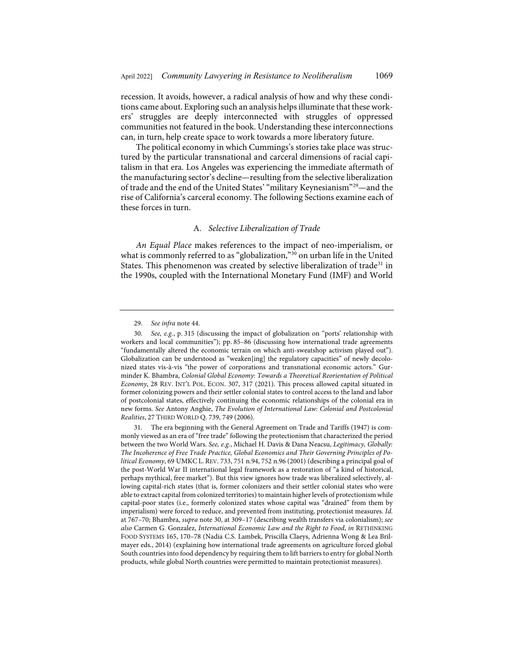recession. It avoids, however, a radical analysis of how and why these conditions came about. Exploring such an analysis helps illuminate that these workers' struggles are deeply interconnected with struggles of oppressed communities not featured in the book. Understanding these interconnections can, in turn, help create space to work towards a more liberatory future.

The political economy in which Cummings's stories take place was structured by the particular transnational and carceral dimensions of racial capitalism in that era. Los Angeles was experiencing the immediate aftermath of the manufacturing sector's decline—resulting from the selective liberalization of trade and the end of the United States' "military Keynesianism"[29—](#page-9-1)and the rise of California's carceral economy. The following Sections examine each of these forces in turn.

### <span id="page-9-4"></span><span id="page-9-0"></span>A. *Selective Liberalization of Trade*

*An Equal Place* makes references to the impact of neo-imperialism, or what is commonly referred to as "globalization,"<sup>[30](#page-9-2)</sup> on urban life in the United States. This phenomenon was created by selective liberalization of trade<sup>[31](#page-9-3)</sup> in the 1990s, coupled with the International Monetary Fund (IMF) and World

<sup>29.</sup> *See infra* not[e 44.](#page-12-0) 

<span id="page-9-2"></span><span id="page-9-1"></span><sup>30.</sup> *See, e.g.*, p. 315 (discussing the impact of globalization on "ports' relationship with workers and local communities"); pp. 85–86 (discussing how international trade agreements "fundamentally altered the economic terrain on which anti-sweatshop activism played out"). Globalization can be understood as "weaken[ing] the regulatory capacities" of newly decolonized states vis-à-vis "the power of corporations and transnational economic actors." Gurminder K. Bhambra, *Colonial Global Economy: Towards a Theoretical Reorientation of Political Economy*, 28 REV. INT'L POL. ECON. 307, 317 (2021). This process allowed capital situated in former colonizing powers and their settler colonial states to control access to the land and labor of postcolonial states, effectively continuing the economic relationships of the colonial era in new forms. *See* Antony Anghie, *The Evolution of International Law: Colonial and Postcolonial Realities*, 27 THIRD WORLD Q. 739, 749 (2006).

<span id="page-9-3"></span><sup>31.</sup> The era beginning with the General Agreement on Trade and Tariffs (1947) is commonly viewed as an era of "free trade" following the protectionism that characterized the period between the two World Wars. *See, e.g.*, Michael H. Davis & Dana Neacsu, *Legitimacy, Globally: The Incoherence of Free Trade Practice, Global Economics and Their Governing Principles of Political Economy*, 69 UMKC L. REV. 733, 751 n.94, 752 n.96 (2001) (describing a principal goal of the post-World War II international legal framework as a restoration of "a kind of historical, perhaps mythical, free market"). But this view ignores how trade was liberalized selectively, allowing capital-rich states (that is, former colonizers and their settler colonial states who were able to extract capital from colonized territories) to maintain higher levels of protectionism while capital-poor states (i.e., formerly colonized states whose capital was "drained" from them by imperialism) were forced to reduce, and prevented from instituting, protectionist measures. *Id.* at 767–70; Bhambra, *supra* not[e 30,](#page-9-0) at 309–17 (describing wealth transfers via colonialism); *see also* Carmen G. Gonzalez, *International Economic Law and the Right to Food*, *in* RETHINKING FOOD SYSTEMS 165, 170–78 (Nadia C.S. Lambek, Priscilla Claeys, Adrienna Wong & Lea Brilmayer eds., 2014) (explaining how international trade agreements on agriculture forced global South countries into food dependency by requiring them to lift barriers to entry for global North products, while global North countries were permitted to maintain protectionist measures).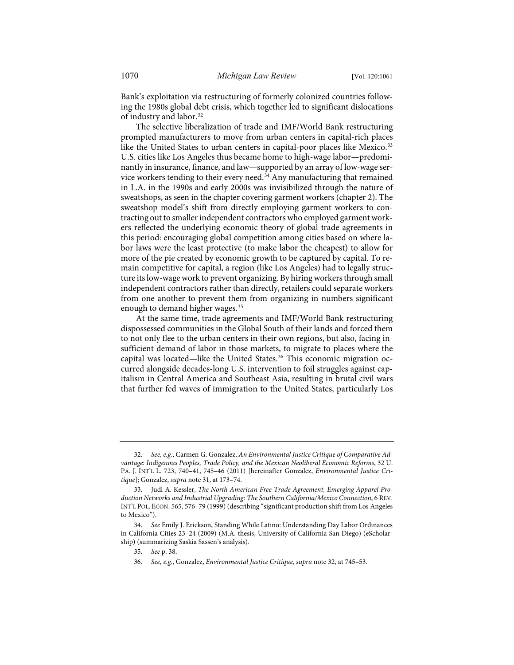Bank's exploitation via restructuring of formerly colonized countries following the 1980s global debt crisis, which together led to significant dislocations of industry and labor.<sup>[32](#page-10-1)</sup>

<span id="page-10-0"></span>The selective liberalization of trade and IMF/World Bank restructuring prompted manufacturers to move from urban centers in capital-rich places like the United States to urban centers in capital-poor places like Mexico.<sup>[33](#page-10-2)</sup> U.S. cities like Los Angeles thus became home to high-wage labor—predominantly in insurance, finance, and law—supported by an array of low-wage ser-vice workers tending to their every need.<sup>[34](#page-10-3)</sup> Any manufacturing that remained in L.A. in the 1990s and early 2000s was invisibilized through the nature of sweatshops, as seen in the chapter covering garment workers (chapter 2). The sweatshop model's shift from directly employing garment workers to contracting out to smaller independent contractors who employed garment workers reflected the underlying economic theory of global trade agreements in this period: encouraging global competition among cities based on where labor laws were the least protective (to make labor the cheapest) to allow for more of the pie created by economic growth to be captured by capital. To remain competitive for capital, a region (like Los Angeles) had to legally structure its low-wage work to prevent organizing. By hiring workers through small independent contractors rather than directly, retailers could separate workers from one another to prevent them from organizing in numbers significant enough to demand higher wages.<sup>[35](#page-10-4)</sup>

At the same time, trade agreements and IMF/World Bank restructuring dispossessed communities in the Global South of their lands and forced them to not only flee to the urban centers in their own regions, but also, facing insufficient demand of labor in those markets, to migrate to places where the capital was located—like the United States.<sup>[36](#page-10-5)</sup> This economic migration occurred alongside decades-long U.S. intervention to foil struggles against capitalism in Central America and Southeast Asia, resulting in brutal civil wars that further fed waves of immigration to the United States, particularly Los

<span id="page-10-1"></span><sup>32.</sup> *See, e.g.*, Carmen G. Gonzalez, *An Environmental Justice Critique of Comparative Advantage: Indigenous Peoples, Trade Policy, and the Mexican Neoliberal Economic Reforms*, 32 U. PA. J. INT'L L. 723, 740–41, 745–46 (2011) [hereinafter Gonzalez, *Environmental Justice Critique*]; Gonzalez, *supra* not[e 31,](#page-9-4) at 173–74.

<span id="page-10-2"></span><sup>33.</sup> Judi A. Kessler, *The North American Free Trade Agreement, Emerging Apparel Production Networks and Industrial Upgrading: The Southern California/Mexico Connection*, 6 REV. INT'L POL. ECON. 565, 576–79 (1999) (describing "significant production shift from Los Angeles to Mexico").

<span id="page-10-5"></span><span id="page-10-4"></span><span id="page-10-3"></span><sup>34.</sup> *See* Emily J. Erickson, Standing While Latino: Understanding Day Labor Ordinances in California Cities 23–24 (2009) (M.A. thesis, University of California San Diego) (eScholarship) (summarizing Saskia Sassen's analysis).

<sup>35.</sup> *See* p. 38.

<sup>36.</sup> *See, e.g.*, Gonzalez, *Environmental Justice Critique*, *supra* not[e 32,](#page-10-0) at 745–53.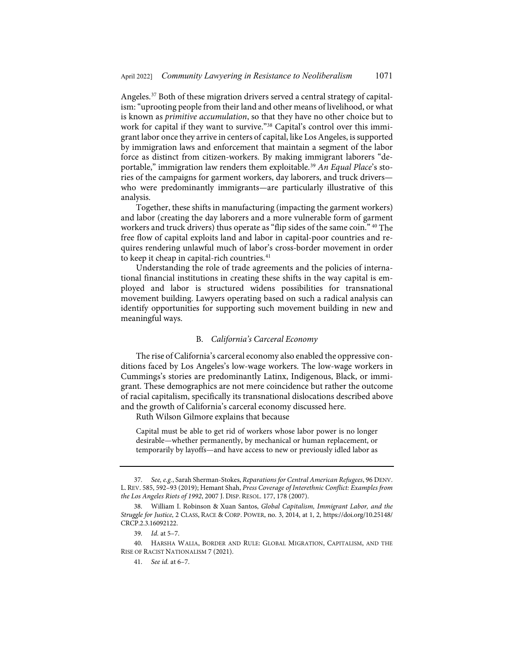Angeles.<sup>[37](#page-11-0)</sup> Both of these migration drivers served a central strategy of capitalism: "uprooting people from their land and other means of livelihood, or what is known as *primitive accumulation*, so that they have no other choice but to work for capital if they want to survive."<sup>38</sup> Capital's control over this immigrant labor once they arrive in centers of capital, like Los Angeles, is supported by immigration laws and enforcement that maintain a segment of the labor force as distinct from citizen-workers. By making immigrant laborers "de-portable," immigration law renders them exploitable.<sup>[39](#page-11-2)</sup> An Equal Place's stories of the campaigns for garment workers, day laborers, and truck drivers who were predominantly immigrants—are particularly illustrative of this analysis.

Together, these shifts in manufacturing (impacting the garment workers) and labor (creating the day laborers and a more vulnerable form of garment workers and truck drivers) thus operate as "flip sides of the same coin." [40](#page-11-3) The free flow of capital exploits land and labor in capital-poor countries and requires rendering unlawful much of labor's cross-border movement in order to keep it cheap in capital-rich countries.<sup>[41](#page-11-4)</sup>

Understanding the role of trade agreements and the policies of international financial institutions in creating these shifts in the way capital is employed and labor is structured widens possibilities for transnational movement building. Lawyers operating based on such a radical analysis can identify opportunities for supporting such movement building in new and meaningful ways.

#### B. *California's Carceral Economy*

The rise of California's carceral economy also enabled the oppressive conditions faced by Los Angeles's low-wage workers. The low-wage workers in Cummings's stories are predominantly Latinx, Indigenous, Black, or immigrant. These demographics are not mere coincidence but rather the outcome of racial capitalism, specifically its transnational dislocations described above and the growth of California's carceral economy discussed here.

Ruth Wilson Gilmore explains that because

Capital must be able to get rid of workers whose labor power is no longer desirable—whether permanently, by mechanical or human replacement, or temporarily by layoffs—and have access to new or previously idled labor as

<span id="page-11-4"></span><span id="page-11-3"></span><span id="page-11-2"></span>40. HARSHA WALIA, BORDER AND RULE: GLOBAL MIGRATION, CAPITALISM, AND THE RISE OF RACIST NATIONALISM 7 (2021).

<span id="page-11-0"></span><sup>37.</sup> *See, e.g.*, Sarah Sherman-Stokes, *Reparations for Central American Refugees*, 96 DENV. L. REV. 585, 592–93 (2019); Hemant Shah, *Press Coverage of Interethnic Conflict: Examples from the Los Angeles Riots of 1992*, 2007 J. DISP. RESOL. 177, 178 (2007).

<span id="page-11-1"></span><sup>38.</sup> William I. Robinson & Xuan Santos, *Global Capitalism, Immigrant Labor, and the Struggle for Justice*, 2 CLASS, RACE & CORP. POWER, no. 3, 2014, at 1, 2, [https://doi.org/10.25148/](https://dx.doi.org/10.25148/CRCP.2.3.16092122) [CRCP.2.3.16092122.](https://dx.doi.org/10.25148/CRCP.2.3.16092122) 

<sup>39.</sup> *Id.* at 5–7.

<sup>41.</sup> *See id.* at 6–7.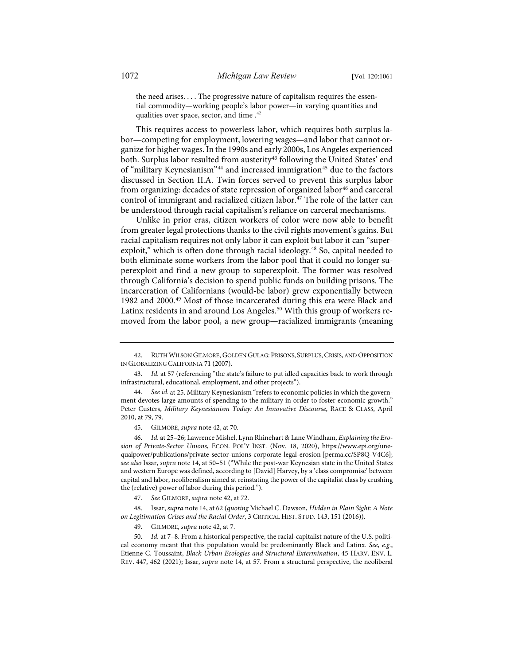<span id="page-12-1"></span>the need arises. . . . The progressive nature of capitalism requires the essential commodity—working people's labor power—in varying quantities and qualities over space, sector, and time .<sup>[42](#page-12-2)</sup>

<span id="page-12-0"></span>This requires access to powerless labor, which requires both surplus labor—competing for employment, lowering wages—and labor that cannot organize for higher wages. In the 1990s and early 2000s, Los Angeles experienced both. Surplus labor resulted from austerity<sup>[43](#page-12-3)</sup> following the United States' end of "military Keynesianism"<sup>44</sup> and increased immigration<sup>[45](#page-12-5)</sup> due to the factors discussed in Section II.A. Twin forces served to prevent this surplus labor from organizing: decades of state repression of organized labor<sup>[46](#page-12-6)</sup> and carceral control of immigrant and racialized citizen labor.<sup>[47](#page-12-7)</sup> The role of the latter can be understood through racial capitalism's reliance on carceral mechanisms.

Unlike in prior eras, citizen workers of color were now able to benefit from greater legal protections thanks to the civil rights movement's gains. But racial capitalism requires not only labor it can exploit but labor it can "super-exploit," which is often done through racial ideology.<sup>[48](#page-12-8)</sup> So, capital needed to both eliminate some workers from the labor pool that it could no longer superexploit and find a new group to superexploit. The former was resolved through California's decision to spend public funds on building prisons. The incarceration of Californians (would-be labor) grew exponentially between 1982 and 2000.[49](#page-12-9) Most of those incarcerated during this era were Black and Latinx residents in and around Los Angeles.<sup>[50](#page-12-10)</sup> With this group of workers removed from the labor pool, a new group—racialized immigrants (meaning

45. GILMORE, *supra* not[e 42,](#page-12-1) at 70.

<span id="page-12-6"></span><span id="page-12-5"></span>46. *Id.* at 25–26; Lawrence Mishel, Lynn Rhinehart & Lane Windham, *Explaining the Erosion of Private-Sector Unions*, ECON. POL'Y INST. (Nov. 18, 2020), [https://www.epi.org/une](https://www.epi.org/unequalpower/publications/private-sector-unions-corporate-legal-erosion)[qualpower/publications/private-sector-unions-corporate-legal-erosion](https://www.epi.org/unequalpower/publications/private-sector-unions-corporate-legal-erosion) [\[perma.cc/SP8Q-V4C6\]](https://perma.cc/SP8Q-V4C6); *see also* Issar, *supra* not[e 14,](#page-4-4) at 50–51 ("While the post-war Keynesian state in the United States and western Europe was defined, according to [David] Harvey, by a 'class compromise' between capital and labor, neoliberalism aimed at reinstating the power of the capitalist class by crushing the (relative) power of labor during this period.").

47. *See* GILMORE, *supra* not[e 42,](#page-12-1) at 72.

<span id="page-12-8"></span><span id="page-12-7"></span>48. Issar, *supra* not[e 14,](#page-4-4) at 62 (*quoting* Michael C. Dawson, *Hidden in Plain Sight: A Note on Legitimation Crises and the Racial Order*, 3 CRITICAL HIST. STUD. 143, 151 (2016)).

49. GILMORE, *supra* not[e 42,](#page-12-1) at 7.

<span id="page-12-10"></span><span id="page-12-9"></span>50. *Id.* at 7–8. From a historical perspective, the racial-capitalist nature of the U.S. political economy meant that this population would be predominantly Black and Latinx. *See, e.g.*, Etienne C. Toussaint, *Black Urban Ecologies and Structural Extermination*, 45 HARV. ENV. L. REV. 447, 462 (2021); Issar, *supra* note [14,](#page-4-4) at 57. From a structural perspective, the neoliberal

<span id="page-12-2"></span><sup>42.</sup> RUTH WILSON GILMORE, GOLDEN GULAG: PRISONS, SURPLUS, CRISIS, AND OPPOSITION IN GLOBALIZING CALIFORNIA 71 (2007).

<span id="page-12-3"></span><sup>43.</sup> *Id.* at 57 (referencing "the state's failure to put idled capacities back to work through infrastructural, educational, employment, and other projects").

<span id="page-12-4"></span><sup>44.</sup> *See id.* at 25. Military Keynesianism "refers to economic policies in which the government devotes large amounts of spending to the military in order to foster economic growth." Peter Custers, *Military Keynesianism Today: An Innovative Discourse*, RACE & CLASS, April 2010, at 79, 79.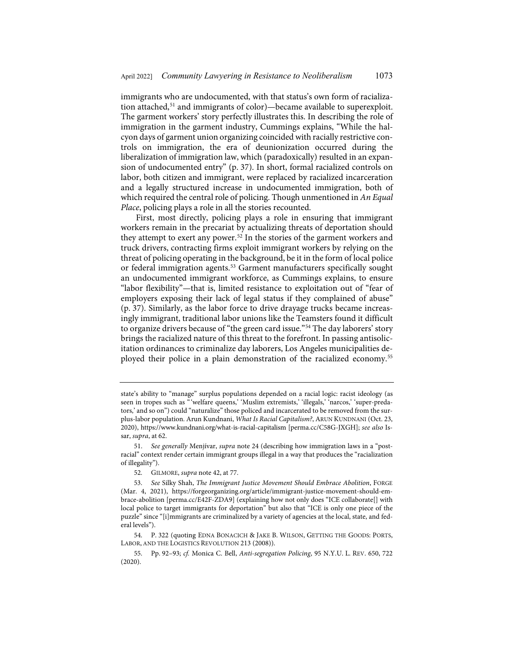immigrants who are undocumented, with that status's own form of racializa-tion attached,<sup>[51](#page-13-0)</sup> and immigrants of color)—became available to superexploit. The garment workers' story perfectly illustrates this. In describing the role of immigration in the garment industry, Cummings explains, "While the halcyon days of garment union organizing coincided with racially restrictive controls on immigration, the era of deunionization occurred during the liberalization of immigration law, which (paradoxically) resulted in an expansion of undocumented entry" (p. 37). In short, formal racialized controls on labor, both citizen and immigrant, were replaced by racialized incarceration and a legally structured increase in undocumented immigration, both of which required the central role of policing. Though unmentioned in *An Equal Place*, policing plays a role in all the stories recounted.

<span id="page-13-6"></span>First, most directly, policing plays a role in ensuring that immigrant workers remain in the precariat by actualizing threats of deportation should they attempt to exert any power.<sup>[52](#page-13-1)</sup> In the stories of the garment workers and truck drivers, contracting firms exploit immigrant workers by relying on the threat of policing operating in the background, be it in the form of local police or federal immigration agents.<sup>[53](#page-13-2)</sup> Garment manufacturers specifically sought an undocumented immigrant workforce, as Cummings explains, to ensure "labor flexibility"—that is, limited resistance to exploitation out of "fear of employers exposing their lack of legal status if they complained of abuse" (p. 37). Similarly, as the labor force to drive drayage trucks became increasingly immigrant, traditional labor unions like the Teamsters found it difficult to organize drivers because of "the green card issue."[54](#page-13-3) The day laborers' story brings the racialized nature of this threat to the forefront. In passing antisolicitation ordinances to criminalize day laborers, Los Angeles municipalities deployed their police in a plain demonstration of the racialized economy.[55](#page-13-4)

<span id="page-13-5"></span>state's ability to "manage" surplus populations depended on a racial logic: racist ideology (as seen in tropes such as "'welfare queens,' 'Muslim extremists,' 'illegals,' 'narcos,' 'super-predators,' and so on") could "naturalize" those policed and incarcerated to be removed from the surplus-labor population. Arun Kundnani, *What Is Racial Capitalism?*, ARUN KUNDNANI (Oct. 23, 2020)[, https://www.kundnani.org/what-is-racial-capitalism](https://www.kundnani.org/what-is-racial-capitalism/) [\[perma.cc/C58G-JXGH\]](https://perma.cc/C58G-JXGH); *see also* Issar, *supra*, at 62.

<span id="page-13-0"></span><sup>51.</sup> *See generally* Menjívar, *supra* note [24](#page-6-8) (describing how immigration laws in a "postracial" context render certain immigrant groups illegal in a way that produces the "racialization of illegality").

<sup>52.</sup> GILMORE, *supra* not[e 42,](#page-12-1) at 77.

<span id="page-13-2"></span><span id="page-13-1"></span><sup>53.</sup> *See* Silky Shah, *The Immigrant Justice Movement Should Embrace Abolition*, FORGE (Mar. 4, 2021), [https://forgeorganizing.org/article/immigrant-justice-movement-should-em](https://forgeorganizing.org/article/immigrant-justice-movement-should-embrace-abolition)[brace-abolition](https://forgeorganizing.org/article/immigrant-justice-movement-should-embrace-abolition) [\[perma.cc/E42F-ZDA9\]](https://perma.cc/E42F-ZDA9) (explaining how not only does "ICE collaborate[] with local police to target immigrants for deportation" but also that "ICE is only one piece of the puzzle" since "[i]mmigrants are criminalized by a variety of agencies at the local, state, and federal levels").

<span id="page-13-3"></span><sup>54.</sup> P. 322 (quoting EDNA BONACICH & JAKE B. WILSON, GETTING THE GOODS: PORTS, LABOR, AND THE LOGISTICS REVOLUTION 213 (2008)).

<span id="page-13-4"></span><sup>55.</sup> Pp. 92–93; *cf.* Monica C. Bell, *Anti-segregation Policing*, 95 N.Y.U. L. REV. 650, 722 (2020).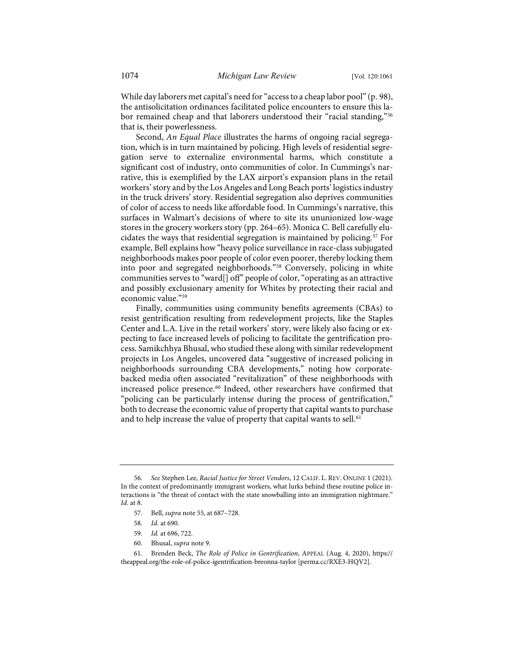While day laborers met capital's need for "access to a cheap labor pool" (p. 98), the antisolicitation ordinances facilitated police encounters to ensure this la-bor remained cheap and that laborers understood their "racial standing,"<sup>[56](#page-14-0)</sup> that is, their powerlessness.

Second, *An Equal Place* illustrates the harms of ongoing racial segregation, which is in turn maintained by policing. High levels of residential segregation serve to externalize environmental harms, which constitute a significant cost of industry, onto communities of color. In Cummings's narrative, this is exemplified by the LAX airport's expansion plans in the retail workers' story and by the Los Angeles and Long Beach ports' logistics industry in the truck drivers' story. Residential segregation also deprives communities of color of access to needs like affordable food. In Cummings's narrative, this surfaces in Walmart's decisions of where to site its ununionized low-wage stores in the grocery workers story (pp. 264–65). Monica C. Bell carefully elu-cidates the ways that residential segregation is maintained by policing.<sup>[57](#page-14-1)</sup> For example, Bell explains how "heavy police surveillance in race-class subjugated neighborhoods makes poor people of color even poorer, thereby locking them into poor and segregated neighborhoods."[58](#page-14-2) Conversely, policing in white communities serves to "ward[] off" people of color, "operating as an attractive and possibly exclusionary amenity for Whites by protecting their racial and economic value."[59](#page-14-3)

Finally, communities using community benefits agreements (CBAs) to resist gentrification resulting from redevelopment projects, like the Staples Center and L.A. Live in the retail workers' story, were likely also facing or expecting to face increased levels of policing to facilitate the gentrification process. Samikchhya Bhusal, who studied these along with similar redevelopment projects in Los Angeles, uncovered data "suggestive of increased policing in neighborhoods surrounding CBA developments," noting how corporatebacked media often associated "revitalization" of these neighborhoods with increased police presence.[60](#page-14-4) Indeed, other researchers have confirmed that "policing can be particularly intense during the process of gentrification," both to decrease the economic value of property that capital wants to purchase and to help increase the value of property that capital wants to sell.<sup>[61](#page-14-5)</sup>

- 58. *Id.* at 690.
- 59. *Id.* at 696, 722.
- 60. Bhusal, *supra* note [9.](#page-3-4)

<span id="page-14-1"></span><span id="page-14-0"></span><sup>56.</sup> *See* Stephen Lee, *Racial Justice for Street Vendors*, 12 CALIF. L. REV. ONLINE 1 (2021). In the context of predominantly immigrant workers, what lurks behind these routine police interactions is "the threat of contact with the state snowballing into an immigration nightmare." *Id.* at 8.

<sup>57.</sup> Bell, *supra* not[e 55,](#page-13-5) at 687–728.

<span id="page-14-5"></span><span id="page-14-4"></span><span id="page-14-3"></span><span id="page-14-2"></span><sup>61.</sup> Brenden Beck, *The Role of Police in Gentrification*, APPEAL (Aug. 4, 2020), [https://](https://theappeal.org/the-role-of-police-igentrification-breonna-taylor) [theappeal.org/the-role-of-police-igentrification-breonna-taylor](https://theappeal.org/the-role-of-police-igentrification-breonna-taylor) [\[perma.cc/RXE3-HQV2\]](https://perma.cc/RXE3-HQV2).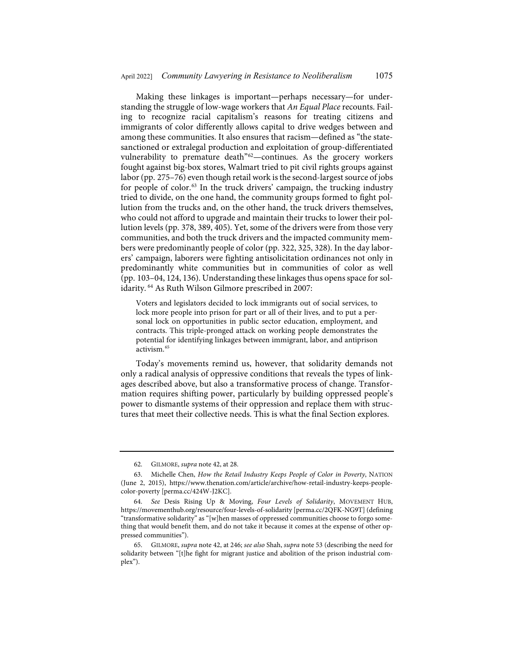Making these linkages is important—perhaps necessary—for understanding the struggle of low-wage workers that *An Equal Place* recounts. Failing to recognize racial capitalism's reasons for treating citizens and immigrants of color differently allows capital to drive wedges between and among these communities. It also ensures that racism—defined as "the statesanctioned or extralegal production and exploitation of group-differentiated vulnerability to premature death"[62—](#page-15-0)continues. As the grocery workers fought against big-box stores, Walmart tried to pit civil rights groups against labor (pp. 275–76) even though retail work is the second-largest source of jobs for people of color.<sup>[63](#page-15-1)</sup> In the truck drivers' campaign, the trucking industry tried to divide, on the one hand, the community groups formed to fight pollution from the trucks and, on the other hand, the truck drivers themselves, who could not afford to upgrade and maintain their trucks to lower their pollution levels (pp. 378, 389, 405). Yet, some of the drivers were from those very communities, and both the truck drivers and the impacted community members were predominantly people of color (pp. 322, 325, 328). In the day laborers' campaign, laborers were fighting antisolicitation ordinances not only in predominantly white communities but in communities of color as well (pp. 103–04, 124, 136). Understanding these linkages thus opens space for solidarity. [64](#page-15-2) As Ruth Wilson Gilmore prescribed in 2007:

Voters and legislators decided to lock immigrants out of social services, to lock more people into prison for part or all of their lives, and to put a personal lock on opportunities in public sector education, employment, and contracts. This triple-pronged attack on working people demonstrates the potential for identifying linkages between immigrant, labor, and antiprison activism.[65](#page-15-3)

Today's movements remind us, however, that solidarity demands not only a radical analysis of oppressive conditions that reveals the types of linkages described above, but also a transformative process of change. Transformation requires shifting power, particularly by building oppressed people's power to dismantle systems of their oppression and replace them with structures that meet their collective needs. This is what the final Section explores.

<sup>62.</sup> GILMORE, *supra* not[e 42,](#page-12-1) at 28.

<span id="page-15-1"></span><span id="page-15-0"></span><sup>63.</sup> Michelle Chen, *How the Retail Industry Keeps People of Color in Poverty*, NATION (June 2, 2015), [https://www.thenation.com/article/archive/how-retail-industry-keeps-people](https://www.thenation.com/article/archive/how-retail-industry-keeps-people-color-poverty)[color-poverty](https://www.thenation.com/article/archive/how-retail-industry-keeps-people-color-poverty) [\[perma.cc/424W-J2KC\]](http://perma.cc/424W-J2KC).

<span id="page-15-2"></span><sup>64.</sup> *See* Desis Rising Up & Moving, *Four Levels of Solidarity*, MOVEMENT HUB, <https://movementhub.org/resource/four-levels-of-solidarity>[\[perma.cc/2QFK-NG9T\]](https://perma.cc/2QFK-NG9T) (defining "transformative solidarity" as "[w]hen masses of oppressed communities choose to forgo something that would benefit them, and do not take it because it comes at the expense of other oppressed communities").

<span id="page-15-3"></span><sup>65.</sup> GILMORE, *supra* not[e 42,](#page-12-1) at 246; *see also* Shah, *supra* not[e 53](#page-13-6) (describing the need for solidarity between "[t]he fight for migrant justice and abolition of the prison industrial complex").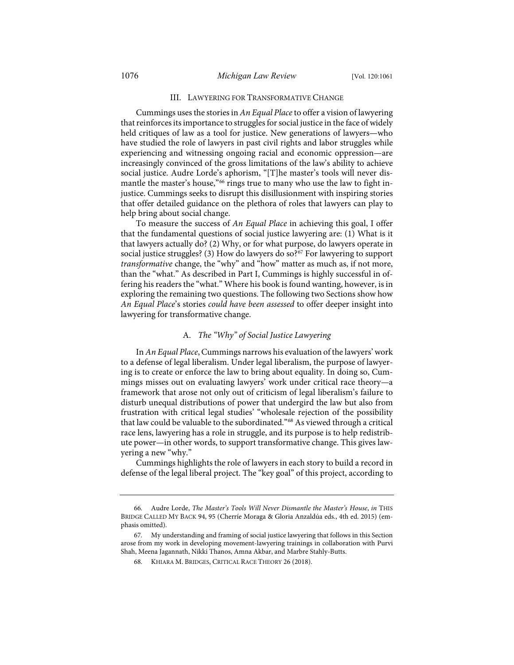### III. LAWYERING FOR TRANSFORMATIVE CHANGE

Cummings uses the stories in *An Equal Place* to offer a vision of lawyering that reinforces its importance to struggles for social justice in the face of widely held critiques of law as a tool for justice. New generations of lawyers—who have studied the role of lawyers in past civil rights and labor struggles while experiencing and witnessing ongoing racial and economic oppression—are increasingly convinced of the gross limitations of the law's ability to achieve social justice. Audre Lorde's aphorism, "[T]he master's tools will never dis-mantle the master's house,"<sup>[66](#page-16-0)</sup> rings true to many who use the law to fight injustice. Cummings seeks to disrupt this disillusionment with inspiring stories that offer detailed guidance on the plethora of roles that lawyers can play to help bring about social change.

To measure the success of *An Equal Place* in achieving this goal, I offer that the fundamental questions of social justice lawyering are: (1) What is it that lawyers actually do? (2) Why, or for what purpose, do lawyers operate in social justice struggles? (3) How do lawyers do so?<sup>[67](#page-16-1)</sup> For lawyering to support *transformative* change, the "why" and "how" matter as much as, if not more, than the "what." As described in Part I, Cummings is highly successful in offering his readers the "what." Where his book is found wanting, however, is in exploring the remaining two questions. The following two Sections show how *An Equal Place*'s stories *could have been assessed* to offer deeper insight into lawyering for transformative change.

## A. *The "Why" of Social Justice Lawyering*

In *An Equal Place*, Cummings narrows his evaluation of the lawyers' work to a defense of legal liberalism. Under legal liberalism, the purpose of lawyering is to create or enforce the law to bring about equality. In doing so, Cummings misses out on evaluating lawyers' work under critical race theory—a framework that arose not only out of criticism of legal liberalism's failure to disturb unequal distributions of power that undergird the law but also from frustration with critical legal studies' "wholesale rejection of the possibility that law could be valuable to the subordinated."[68](#page-16-2) As viewed through a critical race lens, lawyering has a role in struggle, and its purpose is to help redistribute power—in other words, to support transformative change. This gives lawyering a new "why."

Cummings highlights the role of lawyers in each story to build a record in defense of the legal liberal project. The "key goal" of this project, according to

<span id="page-16-0"></span><sup>66.</sup> Audre Lorde, *The Master's Tools Will Never Dismantle the Master's House*, *in* THIS BRIDGE CALLED MY BACK 94, 95 (Cherríe Moraga & Gloria Anzaldúa eds., 4th ed. 2015) (emphasis omitted).

<span id="page-16-2"></span><span id="page-16-1"></span><sup>67.</sup> My understanding and framing of social justice lawyering that follows in this Section arose from my work in developing movement-lawyering trainings in collaboration with Purvi Shah, Meena Jagannath, Nikki Thanos, Amna Akbar, and Marbre Stahly-Butts.

<sup>68.</sup> KHIARA M. BRIDGES, CRITICAL RACE THEORY 26 (2018).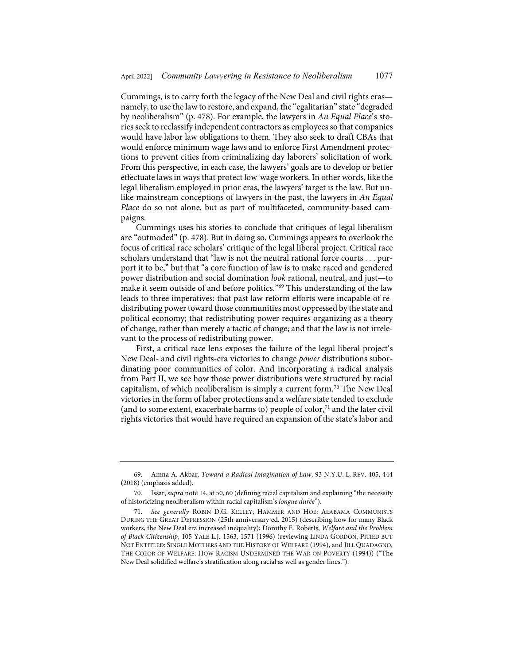Cummings, is to carry forth the legacy of the New Deal and civil rights eras namely, to use the law to restore, and expand, the "egalitarian" state "degraded by neoliberalism" (p. 478). For example, the lawyers in *An Equal Place*'s stories seek to reclassify independent contractors as employees so that companies would have labor law obligations to them. They also seek to draft CBAs that would enforce minimum wage laws and to enforce First Amendment protections to prevent cities from criminalizing day laborers' solicitation of work. From this perspective, in each case, the lawyers' goals are to develop or better effectuate laws in ways that protect low-wage workers. In other words, like the legal liberalism employed in prior eras, the lawyers' target is the law. But unlike mainstream conceptions of lawyers in the past, the lawyers in *An Equal Place* do so not alone, but as part of multifaceted, community-based campaigns.

Cummings uses his stories to conclude that critiques of legal liberalism are "outmoded" (p. 478). But in doing so, Cummings appears to overlook the focus of critical race scholars' critique of the legal liberal project. Critical race scholars understand that "law is not the neutral rational force courts . . . purport it to be," but that "a core function of law is to make raced and gendered power distribution and social domination *look* rational, neutral, and just—to make it seem outside of and before politics."[69](#page-17-0) This understanding of the law leads to three imperatives: that past law reform efforts were incapable of redistributing power toward those communities most oppressed by the state and political economy; that redistributing power requires organizing as a theory of change, rather than merely a tactic of change; and that the law is not irrelevant to the process of redistributing power.

<span id="page-17-3"></span>First, a critical race lens exposes the failure of the legal liberal project's New Deal- and civil rights-era victories to change *power* distributions subordinating poor communities of color. And incorporating a radical analysis from Part II, we see how those power distributions were structured by racial capitalism, of which neoliberalism is simply a current form.<sup>[70](#page-17-1)</sup> The New Deal victories in the form of labor protections and a welfare state tended to exclude (and to some extent, exacerbate harms to) people of color, $71$  and the later civil rights victories that would have required an expansion of the state's labor and

<span id="page-17-0"></span><sup>69.</sup> Amna A. Akbar, *Toward a Radical Imagination of Law*, 93 N.Y.U. L. REV. 405, 444 (2018) (emphasis added).

<span id="page-17-1"></span><sup>70.</sup> Issar, *supra* not[e 14,](#page-4-4) at 50, 60 (defining racial capitalism and explaining "the necessity of historicizing neoliberalism within racial capitalism's *longue durée*").

<span id="page-17-2"></span><sup>71.</sup> *See generally* ROBIN D.G. KELLEY, HAMMER AND HOE: ALABAMA COMMUNISTS DURING THE GREAT DEPRESSION (25th anniversary ed. 2015) (describing how for many Black workers, the New Deal era increased inequality); Dorothy E. Roberts, *Welfare and the Problem of Black Citizenship*, 105 YALE L.J. 1563, 1571 (1996) (reviewing LINDA GORDON, PITIED BUT NOT ENTITLED: SINGLE MOTHERS AND THE HISTORY OF WELFARE (1994), and JILL QUADAGNO, THE COLOR OF WELFARE: HOW RACISM UNDERMINED THE WAR ON POVERTY (1994)) ("The New Deal solidified welfare's stratification along racial as well as gender lines.").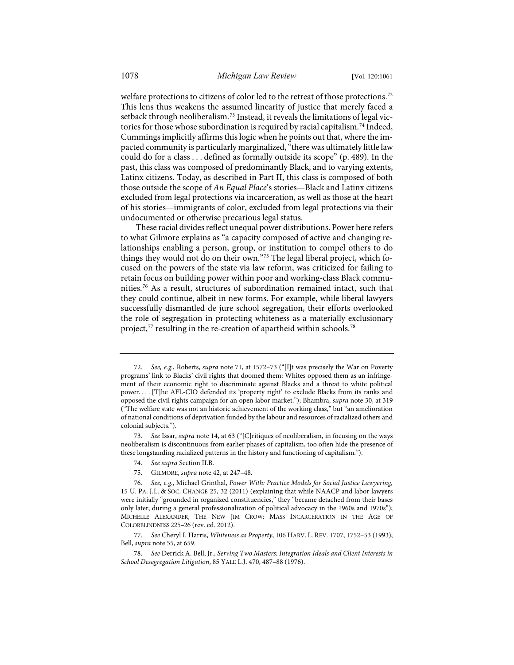welfare protections to citizens of color led to the retreat of those protections.<sup>[72](#page-18-0)</sup> This lens thus weakens the assumed linearity of justice that merely faced a setback through neoliberalism.[73](#page-18-1) Instead, it reveals the limitations of legal vic-tories for those whose subordination is required by racial capitalism.<sup>[74](#page-18-2)</sup> Indeed, Cummings implicitly affirms this logic when he points out that, where the impacted community is particularly marginalized, "there was ultimately little law could do for a class . . . defined as formally outside its scope" (p. 489). In the past, this class was composed of predominantly Black, and to varying extents, Latinx citizens. Today, as described in Part II, this class is composed of both those outside the scope of *An Equal Place*'s stories—Black and Latinx citizens excluded from legal protections via incarceration, as well as those at the heart of his stories—immigrants of color, excluded from legal protections via their undocumented or otherwise precarious legal status.

<span id="page-18-7"></span>These racial divides reflect unequal power distributions. Power here refers to what Gilmore explains as "a capacity composed of active and changing relationships enabling a person, group, or institution to compel others to do things they would not do on their own."[75](#page-18-3) The legal liberal project, which focused on the powers of the state via law reform, was criticized for failing to retain focus on building power within poor and working-class Black communities.[76](#page-18-4) As a result, structures of subordination remained intact, such that they could continue, albeit in new forms. For example, while liberal lawyers successfully dismantled de jure school segregation, their efforts overlooked the role of segregation in protecting whiteness as a materially exclusionary project, $77$  resulting in the re-creation of apartheid within schools. $78$ 

75. GILMORE, *supra* not[e 42,](#page-12-1) at 247–48.

<span id="page-18-0"></span><sup>72.</sup> *See, e.g.*, Roberts, *supra* note [71,](#page-17-3) at 1572–73 ("[I]t was precisely the War on Poverty programs' link to Blacks' civil rights that doomed them: Whites opposed them as an infringement of their economic right to discriminate against Blacks and a threat to white political power. . . . [T]he AFL-CIO defended its 'property right' to exclude Blacks from its ranks and opposed the civil rights campaign for an open labor market."); Bhambra, *supra* note [30,](#page-9-0) at 319 ("The welfare state was not an historic achievement of the working class," but "an amelioration of national conditions of deprivation funded by the labour and resources of racialized others and colonial subjects.").

<span id="page-18-1"></span><sup>73.</sup> *See* Issar, *supra* not[e 14,](#page-4-4) at 63 ("[C]ritiques of neoliberalism, in focusing on the ways neoliberalism is discontinuous from earlier phases of capitalism, too often hide the presence of these longstanding racialized patterns in the history and functioning of capitalism.").

<sup>74.</sup> *See supra* Section II.B.

<span id="page-18-4"></span><span id="page-18-3"></span><span id="page-18-2"></span><sup>76.</sup> *See, e.g.*, Michael Grinthal, *Power With: Practice Models for Social Justice Lawyering*, 15 U. PA. J.L. & SOC. CHANGE 25, 32 (2011) (explaining that while NAACP and labor lawyers were initially "grounded in organized constituencies," they "became detached from their bases only later, during a general professionalization of political advocacy in the 1960s and 1970s"); MICHELLE ALEXANDER, THE NEW JIM CROW: MASS INCARCERATION IN THE AGE OF COLORBLINDNESS 225–26 (rev. ed. 2012).

<span id="page-18-5"></span><sup>77.</sup> *See* Cheryl I. Harris, *Whiteness as Property*, 106 HARV. L. REV. 1707, 1752–53 (1993); Bell, *supra* not[e 55,](#page-13-5) at 659.

<span id="page-18-6"></span><sup>78.</sup> *See* Derrick A. Bell, Jr., *Serving Two Masters: Integration Ideals and Client Interests in School Desegregation Litigation*, 85 YALE L.J. 470, 487–88 (1976).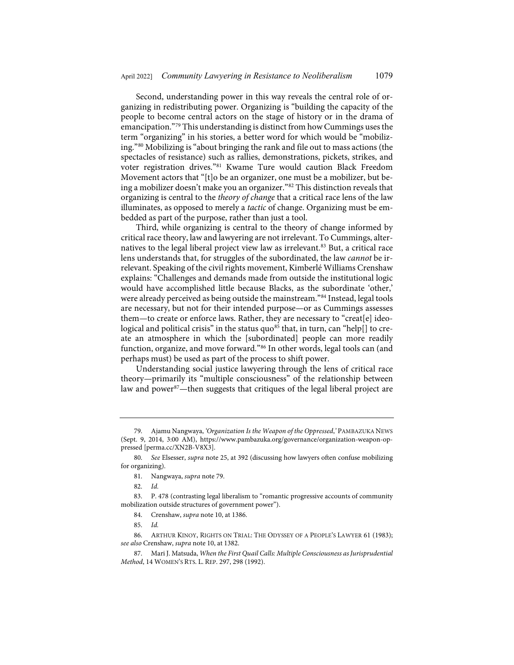<span id="page-19-0"></span>Second, understanding power in this way reveals the central role of organizing in redistributing power. Organizing is "building the capacity of the people to become central actors on the stage of history or in the drama of emancipation."[79](#page-19-1) This understanding is distinct from how Cummings uses the term "organizing" in his stories, a better word for which would be "mobilizing."[80](#page-19-2) Mobilizing is "about bringing the rank and file out to mass actions (the spectacles of resistance) such as rallies, demonstrations, pickets, strikes, and voter registration drives."[81](#page-19-3) Kwame Ture would caution Black Freedom Movement actors that "[t]o be an organizer, one must be a mobilizer, but being a mobilizer doesn't make you an organizer."[82](#page-19-4) This distinction reveals that organizing is central to the *theory of change* that a critical race lens of the law illuminates, as opposed to merely a *tactic* of change. Organizing must be embedded as part of the purpose, rather than just a tool.

Third, while organizing is central to the theory of change informed by critical race theory, law and lawyering are not irrelevant. To Cummings, alter-natives to the legal liberal project view law as irrelevant.<sup>[83](#page-19-5)</sup> But, a critical race lens understands that, for struggles of the subordinated, the law *cannot* be irrelevant. Speaking of the civil rights movement, Kimberlé Williams Crenshaw explains: "Challenges and demands made from outside the institutional logic would have accomplished little because Blacks, as the subordinate 'other,' were already perceived as being outside the mainstream."<sup>[84](#page-19-6)</sup> Instead, legal tools are necessary, but not for their intended purpose—or as Cummings assesses them—to create or enforce laws. Rather, they are necessary to "creat[e] ideo-logical and political crisis" in the status quo<sup>[85](#page-19-7)</sup> that, in turn, can "help[] to create an atmosphere in which the [subordinated] people can more readily function, organize, and move forward."[86](#page-19-8) In other words, legal tools can (and perhaps must) be used as part of the process to shift power.

Understanding social justice lawyering through the lens of critical race theory—primarily its "multiple consciousness" of the relationship between law and power<sup>87</sup>—then suggests that critiques of the legal liberal project are

<span id="page-19-1"></span><sup>79.</sup> Ajamu Nangwaya, *'Organization Is the Weapon of the Oppressed*,*'* PAMBAZUKA NEWS (Sept. 9, 2014, 3:00 AM), [https://www.pambazuka.org/governance/organization-weapon-op](https://www.pambazuka.org/governance/organization-weapon-oppressed)[pressed](https://www.pambazuka.org/governance/organization-weapon-oppressed) [\[perma.cc/XN2B-V8X3\]](https://perma.cc/XN2B-V8X3).

<span id="page-19-2"></span><sup>80.</sup> *See* Elsesser, *supra* not[e 25,](#page-7-2) at 392 (discussing how lawyers often confuse mobilizing for organizing).

<sup>81.</sup> Nangwaya, *supra* not[e 79.](#page-19-0) 

<sup>82.</sup> *Id.*

<span id="page-19-6"></span><span id="page-19-5"></span><span id="page-19-4"></span><span id="page-19-3"></span><sup>83.</sup> P. 478 (contrasting legal liberalism to "romantic progressive accounts of community mobilization outside structures of government power").

<sup>84.</sup> Crenshaw, *supra* not[e 10,](#page-3-5) at 1386.

<sup>85.</sup> *Id.*

<span id="page-19-8"></span><span id="page-19-7"></span><sup>86.</sup> ARTHUR KINOY, RIGHTS ON TRIAL: THE ODYSSEY OF A PEOPLE'S LAWYER 61 (1983); *see also* Crenshaw, *supra* not[e 10,](#page-3-5) at 1382.

<span id="page-19-9"></span><sup>87.</sup> Mari J. Matsuda, *When the First Quail Calls: Multiple Consciousness as Jurisprudential Method*, 14 WOMEN'S RTS. L. REP. 297, 298 (1992).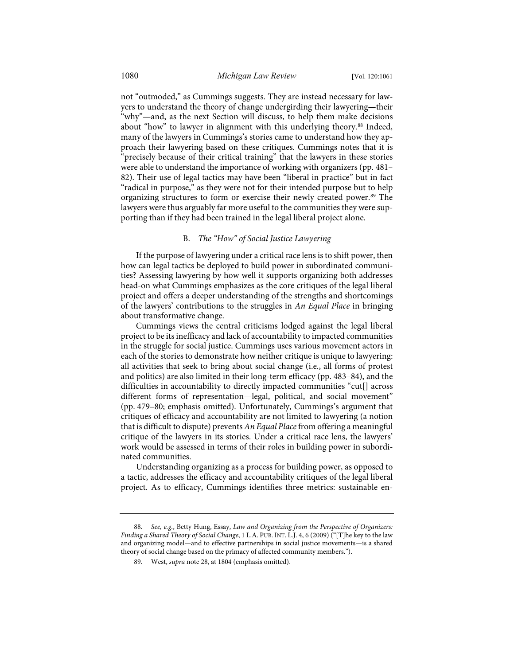not "outmoded," as Cummings suggests. They are instead necessary for lawyers to understand the theory of change undergirding their lawyering—their "why"—and, as the next Section will discuss, to help them make decisions about "how" to lawyer in alignment with this underlying theory.<sup>[88](#page-20-0)</sup> Indeed, many of the lawyers in Cummings's stories came to understand how they approach their lawyering based on these critiques. Cummings notes that it is "precisely because of their critical training" that the lawyers in these stories were able to understand the importance of working with organizers (pp. 481– 82). Their use of legal tactics may have been "liberal in practice" but in fact "radical in purpose," as they were not for their intended purpose but to help organizing structures to form or exercise their newly created power.<sup>89</sup> The lawyers were thus arguably far more useful to the communities they were supporting than if they had been trained in the legal liberal project alone.

## B. *The "How" of Social Justice Lawyering*

If the purpose of lawyering under a critical race lens is to shift power, then how can legal tactics be deployed to build power in subordinated communities? Assessing lawyering by how well it supports organizing both addresses head-on what Cummings emphasizes as the core critiques of the legal liberal project and offers a deeper understanding of the strengths and shortcomings of the lawyers' contributions to the struggles in *An Equal Place* in bringing about transformative change.

Cummings views the central criticisms lodged against the legal liberal project to be its inefficacy and lack of accountability to impacted communities in the struggle for social justice. Cummings uses various movement actors in each of the stories to demonstrate how neither critique is unique to lawyering: all activities that seek to bring about social change (i.e., all forms of protest and politics) are also limited in their long-term efficacy (pp. 483–84), and the difficulties in accountability to directly impacted communities "cut[] across different forms of representation—legal, political, and social movement" (pp. 479–80; emphasis omitted). Unfortunately, Cummings's argument that critiques of efficacy and accountability are not limited to lawyering (a notion that is difficult to dispute) prevents *An Equal Place* from offering a meaningful critique of the lawyers in its stories. Under a critical race lens, the lawyers' work would be assessed in terms of their roles in building power in subordinated communities.

Understanding organizing as a process for building power, as opposed to a tactic, addresses the efficacy and accountability critiques of the legal liberal project. As to efficacy, Cummings identifies three metrics: sustainable en-

<span id="page-20-1"></span><span id="page-20-0"></span><sup>88.</sup> *See, e.g.*, Betty Hung, Essay, *Law and Organizing from the Perspective of Organizers: Finding a Shared Theory of Social Change*, 1 L.A. PUB. INT. L.J. 4, 6 (2009) ("[T]he key to the law and organizing model—and to effective partnerships in social justice movements—is a shared theory of social change based on the primacy of affected community members.").

<sup>89.</sup> West, *supra* not[e 28,](#page-8-2) at 1804 (emphasis omitted).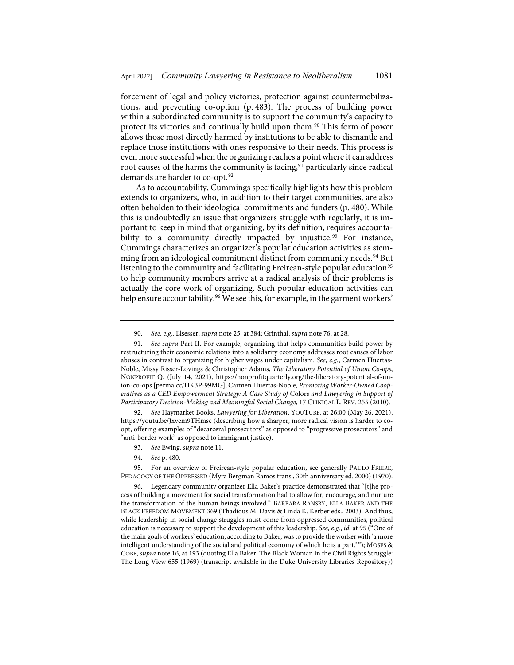forcement of legal and policy victories, protection against countermobilizations, and preventing co-option (p. 483). The process of building power within a subordinated community is to support the community's capacity to protect its victories and continually build upon them.<sup>90</sup> This form of power allows those most directly harmed by institutions to be able to dismantle and replace those institutions with ones responsive to their needs. This process is even more successful when the organizing reaches a point where it can address root causes of the harms the community is facing,<sup>[91](#page-21-1)</sup> particularly since radical demands are harder to co-opt.<sup>[92](#page-21-2)</sup>

As to accountability, Cummings specifically highlights how this problem extends to organizers, who, in addition to their target communities, are also often beholden to their ideological commitments and funders (p. 480). While this is undoubtedly an issue that organizers struggle with regularly, it is important to keep in mind that organizing, by its definition, requires accounta-bility to a community directly impacted by injustice.<sup>[93](#page-21-3)</sup> For instance, Cummings characterizes an organizer's popular education activities as stemming from an ideological commitment distinct from community needs.<sup>94</sup> But listening to the community and facilitating Freirean-style popular education<sup>[95](#page-21-5)</sup> to help community members arrive at a radical analysis of their problems is actually the core work of organizing. Such popular education activities can help ensure accountability.<sup>96</sup> We see this, for example, in the garment workers'

<span id="page-21-2"></span>92. *See* Haymarket Books, *Lawyering for Liberation*, YOUTUBE, at 26:00 (May 26, 2021), <https://youtu.be/Jxvem9THmsc> (describing how a sharper, more radical vision is harder to coopt, offering examples of "decarceral prosecutors" as opposed to "progressive prosecutors" and "anti-border work" as opposed to immigrant justice).

94. *See* p. 480.

<span id="page-21-5"></span><span id="page-21-4"></span><span id="page-21-3"></span>95. For an overview of Freirean-style popular education, see generally PAULO FREIRE, PEDAGOGY OF THE OPPRESSED (Myra Bergman Ramos trans., 30th anniversary ed. 2000) (1970).

<sup>90.</sup> *See, e.g.*, Elsesser, *supra* not[e 25,](#page-7-2) at 384; Grinthal, *supra* not[e 76,](#page-18-7) at 28.

<span id="page-21-1"></span><span id="page-21-0"></span><sup>91.</sup> *See supra* Part II. For example, organizing that helps communities build power by restructuring their economic relations into a solidarity economy addresses root causes of labor abuses in contrast to organizing for higher wages under capitalism. *See, e.g.*, Carmen Huertas-Noble, Missy Risser-Lovings & Christopher Adams, *The Liberatory Potential of Union Co-ops*, NONPROFIT Q. (July 14, 2021), [https://nonprofitquarterly.org/the-liberatory-potential-of-un](https://nonprofitquarterly.org/the-liberatory-potential-of-union-co-ops/)[ion-co-ops](https://nonprofitquarterly.org/the-liberatory-potential-of-union-co-ops/) [\[perma.cc/HK3P-99MG\]](https://perma.cc/HK3P-99MG); Carmen Huertas-Noble, *Promoting Worker-Owned Cooperatives as a CED Empowerment Strategy: A Case Study of* Colors *and Lawyering in Support of Participatory Decision-Making and Meaningful Social Change*, 17 CLINICAL L. REV. 255 (2010).

<sup>93.</sup> *See* Ewing, *supra* not[e 11.](#page-3-6)

<span id="page-21-6"></span><sup>96.</sup> Legendary community organizer Ella Baker's practice demonstrated that "[t]he process of building a movement for social transformation had to allow for, encourage, and nurture the transformation of the human beings involved." BARBARA RANSBY, ELLA BAKER AND THE BLACK FREEDOM MOVEMENT 369 (Thadious M. Davis & Linda K. Kerber eds., 2003). And thus, while leadership in social change struggles must come from oppressed communities, political education is necessary to support the development of this leadership. *See, e.g.*, *id.* at 95 ("One of the main goals of workers' education, according to Baker, was to provide the worker with 'a more intelligent understanding of the social and political economy of which he is a part.' "); MOSES & COBB, *supra* not[e 16,](#page-5-2) at 193 (quoting Ella Baker, The Black Woman in the Civil Rights Struggle: The Long View 655 (1969) (transcript available in the Duke University Libraries Repository))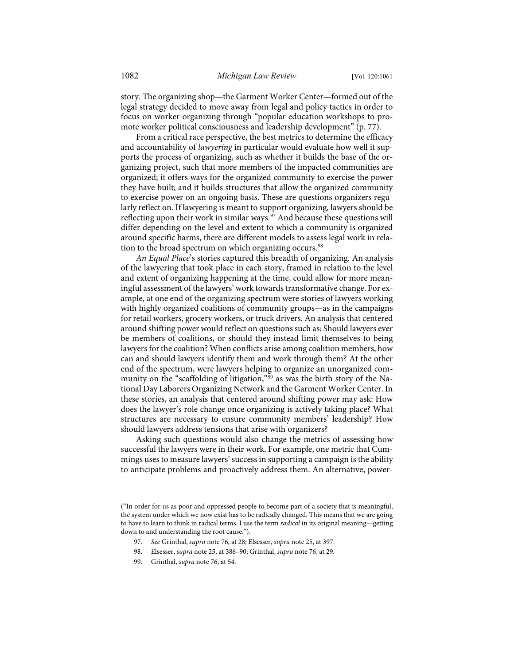story. The organizing shop—the Garment Worker Center—formed out of the legal strategy decided to move away from legal and policy tactics in order to focus on worker organizing through "popular education workshops to promote worker political consciousness and leadership development" (p. 77).

From a critical race perspective, the best metrics to determine the efficacy and accountability of *lawyering* in particular would evaluate how well it supports the process of organizing, such as whether it builds the base of the organizing project, such that more members of the impacted communities are organized; it offers ways for the organized community to exercise the power they have built; and it builds structures that allow the organized community to exercise power on an ongoing basis. These are questions organizers regularly reflect on. If lawyering is meant to support organizing, lawyers should be reflecting upon their work in similar ways.<sup>[97](#page-22-0)</sup> And because these questions will differ depending on the level and extent to which a community is organized around specific harms, there are different models to assess legal work in rela-tion to the broad spectrum on which organizing occurs.<sup>[98](#page-22-1)</sup>

*An Equal Place*'s stories captured this breadth of organizing. An analysis of the lawyering that took place in each story, framed in relation to the level and extent of organizing happening at the time, could allow for more meaningful assessment of the lawyers' work towards transformative change. For example, at one end of the organizing spectrum were stories of lawyers working with highly organized coalitions of community groups—as in the campaigns for retail workers, grocery workers, or truck drivers. An analysis that centered around shifting power would reflect on questions such as: Should lawyers ever be members of coalitions, or should they instead limit themselves to being lawyers for the coalition? When conflicts arise among coalition members, how can and should lawyers identify them and work through them? At the other end of the spectrum, were lawyers helping to organize an unorganized com-munity on the "scaffolding of litigation,"<sup>[99](#page-22-2)</sup> as was the birth story of the National Day Laborers Organizing Network and the Garment Worker Center. In these stories, an analysis that centered around shifting power may ask: How does the lawyer's role change once organizing is actively taking place? What structures are necessary to ensure community members' leadership? How should lawyers address tensions that arise with organizers?

Asking such questions would also change the metrics of assessing how successful the lawyers were in their work. For example, one metric that Cummings uses to measure lawyers' success in supporting a campaign is the ability to anticipate problems and proactively address them. An alternative, power-

- 97. *See* Grinthal, *supra* not[e 76,](#page-18-7) at 28; Elsesser, *supra* not[e 25,](#page-7-2) at 397.
- 98. Elsesser, *supra* not[e 25,](#page-7-2) at 386–90; Grinthal, *supra* not[e 76,](#page-18-7) at 29.
- 99. Grinthal, *supra* not[e 76,](#page-18-7) at 54.

<span id="page-22-2"></span><span id="page-22-1"></span><span id="page-22-0"></span><sup>(&</sup>quot;In order for us as poor and oppressed people to become part of a society that is meaningful, the system under which we now exist has to be radically changed. This means that we are going to have to learn to think in radical terms. I use the term *radical* in its original meaning—getting down to and understanding the root cause.").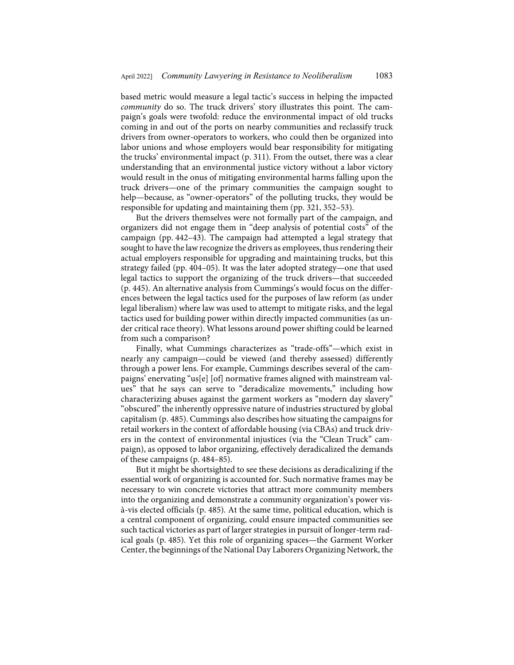based metric would measure a legal tactic's success in helping the impacted *community* do so. The truck drivers' story illustrates this point. The campaign's goals were twofold: reduce the environmental impact of old trucks coming in and out of the ports on nearby communities and reclassify truck drivers from owner-operators to workers, who could then be organized into labor unions and whose employers would bear responsibility for mitigating the trucks' environmental impact (p. 311). From the outset, there was a clear understanding that an environmental justice victory without a labor victory would result in the onus of mitigating environmental harms falling upon the truck drivers—one of the primary communities the campaign sought to help—because, as "owner-operators" of the polluting trucks, they would be responsible for updating and maintaining them (pp. 321, 352–53).

But the drivers themselves were not formally part of the campaign, and organizers did not engage them in "deep analysis of potential costs" of the campaign (pp. 442–43). The campaign had attempted a legal strategy that sought to have the law recognize the drivers as employees, thus rendering their actual employers responsible for upgrading and maintaining trucks, but this strategy failed (pp. 404–05). It was the later adopted strategy—one that used legal tactics to support the organizing of the truck drivers—that succeeded (p. 445). An alternative analysis from Cummings's would focus on the differences between the legal tactics used for the purposes of law reform (as under legal liberalism) where law was used to attempt to mitigate risks, and the legal tactics used for building power within directly impacted communities (as under critical race theory). What lessons around power shifting could be learned from such a comparison?

Finally, what Cummings characterizes as "trade-offs"—which exist in nearly any campaign—could be viewed (and thereby assessed) differently through a power lens. For example, Cummings describes several of the campaigns' enervating "us[e] [of] normative frames aligned with mainstream values" that he says can serve to "deradicalize movements," including how characterizing abuses against the garment workers as "modern day slavery" "obscured" the inherently oppressive nature of industries structured by global capitalism (p. 485). Cummings also describes how situating the campaigns for retail workers in the context of affordable housing (via CBAs) and truck drivers in the context of environmental injustices (via the "Clean Truck" campaign), as opposed to labor organizing, effectively deradicalized the demands of these campaigns (p. 484–85).

But it might be shortsighted to see these decisions as deradicalizing if the essential work of organizing is accounted for. Such normative frames may be necessary to win concrete victories that attract more community members into the organizing and demonstrate a community organization's power visà-vis elected officials (p. 485). At the same time, political education, which is a central component of organizing, could ensure impacted communities see such tactical victories as part of larger strategies in pursuit of longer-term radical goals (p. 485). Yet this role of organizing spaces—the Garment Worker Center, the beginnings of the National Day Laborers Organizing Network, the